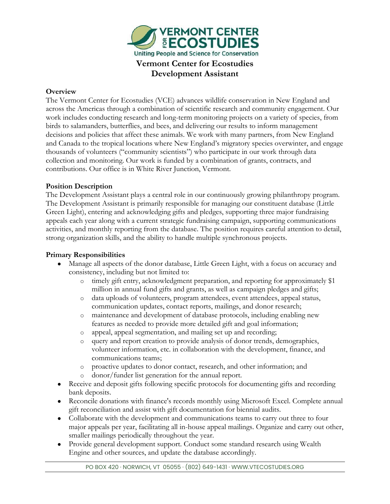

### **Overview**

The Vermont Center for Ecostudies (VCE) advances wildlife conservation in New England and across the Americas through a combination of scientific research and community engagement. Our work includes conducting research and long-term monitoring projects on a variety of species, from birds to salamanders, butterflies, and bees, and delivering our results to inform management decisions and policies that affect these animals. We work with many partners, from New England and Canada to the tropical locations where New England's migratory species overwinter, and engage thousands of volunteers ("community scientists") who participate in our work through data collection and monitoring. Our work is funded by a combination of grants, contracts, and contributions. Our office is in White River Junction, Vermont.

### **Position Description**

The Development Assistant plays a central role in our continuously growing philanthropy program. The Development Assistant is primarily responsible for managing our constituent database (Little Green Light), entering and acknowledging gifts and pledges, supporting three major fundraising appeals each year along with a current strategic fundraising campaign, supporting communications activities, and monthly reporting from the database. The position requires careful attention to detail, strong organization skills, and the ability to handle multiple synchronous projects.

### **Primary Responsibilities**

- Manage all aspects of the donor database, Little Green Light, with a focus on accuracy and consistency, including but not limited to:
	- o timely gift entry, acknowledgment preparation, and reporting for approximately \$1 million in annual fund gifts and grants, as well as campaign pledges and gifts;
	- o data uploads of volunteers, program attendees, event attendees, appeal status, communication updates, contact reports, mailings, and donor research;
	- o maintenance and development of database protocols, including enabling new features as needed to provide more detailed gift and goal information;
	- o appeal, appeal segmentation, and mailing set up and recording;
	- o query and report creation to provide analysis of donor trends, demographics, volunteer information, etc. in collaboration with the development, finance, and communications teams;
	- o proactive updates to donor contact, research, and other information; and
	- donor/funder list generation for the annual report.
- Receive and deposit gifts following specific protocols for documenting gifts and recording bank deposits.
- Reconcile donations with finance's records monthly using Microsoft Excel. Complete annual gift reconciliation and assist with gift documentation for biennial audits.
- Collaborate with the development and communications teams to carry out three to four major appeals per year, facilitating all in-house appeal mailings. Organize and carry out other, smaller mailings periodically throughout the year.
- Provide general development support. Conduct some standard research using Wealth Engine and other sources, and update the database accordingly.